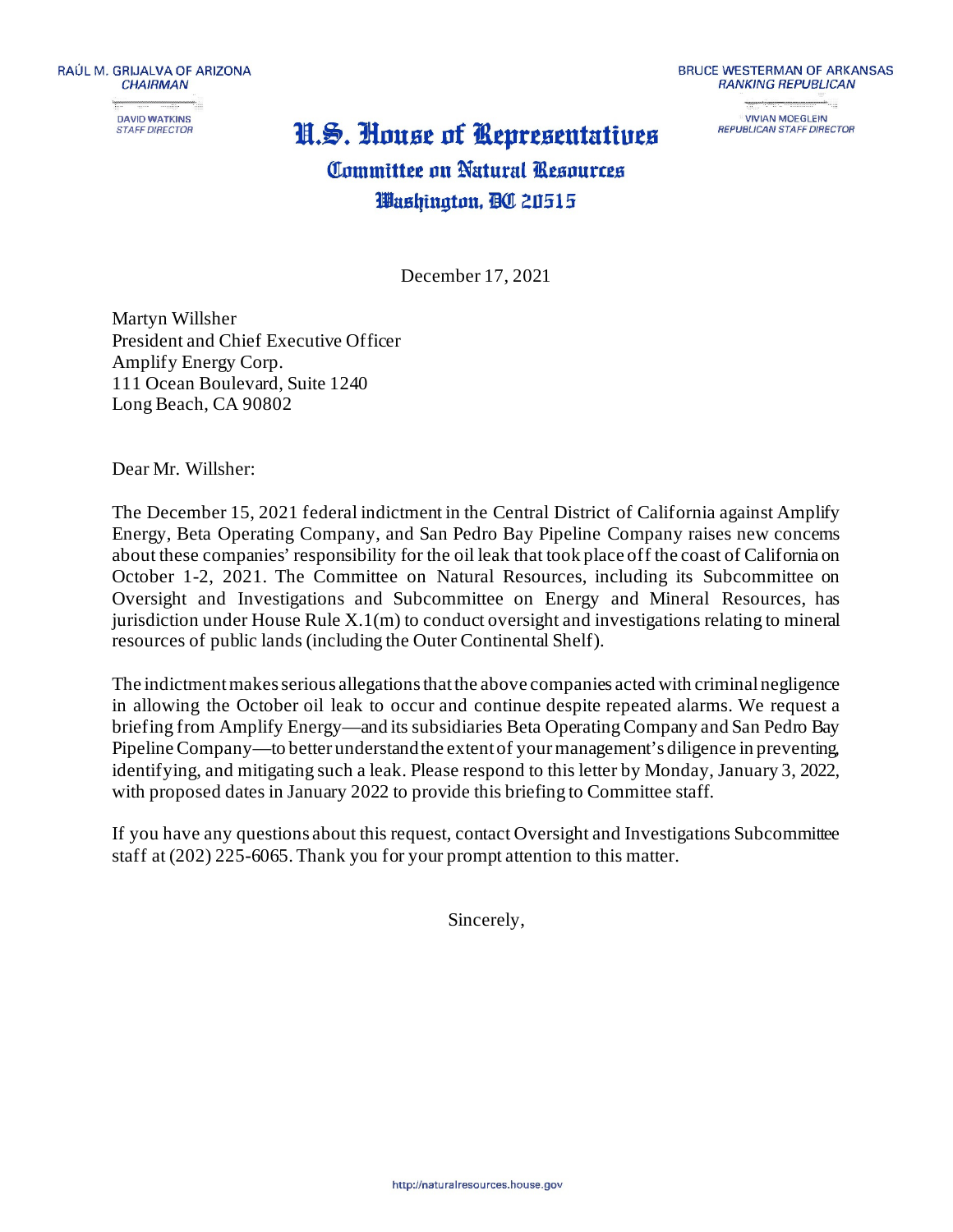

## H.S. House of Representatives



REPUBLICAN STAFF DIRECTOR

## **Committee on Natural Resources** Washington, **BO** 20515

December 17, 2021

Martyn Willsher President and Chief Executive Officer Amplify Energy Corp. 111 Ocean Boulevard, Suite 1240 Long Beach, CA 90802

Dear Mr. Willsher:

The December 15, 2021 federal indictment in the Central District of California against Amplify Energy, Beta Operating Company, and San Pedro Bay Pipeline Company raises new concerns about these companies' responsibility for the oil leak that took place off the coast of California on October 1-2, 2021. The Committee on Natural Resources, including its Subcommittee on Oversight and Investigations and Subcommittee on Energy and Mineral Resources, has jurisdiction under House Rule  $X(1(m))$  to conduct oversight and investigations relating to mineral resources of public lands (including the Outer Continental Shelf).

The indictment makes serious allegations that the above companies acted with criminal negligence in allowing the October oil leak to occur and continue despite repeated alarms. We request a briefing from Amplify Energy—and its subsidiaries Beta Operating Company and San Pedro Bay Pipeline Company—to better understand the extent of your management's diligence in preventing, identifying, and mitigating such a leak. Please respond to this letter by Monday, January 3, 2022, with proposed dates in January 2022 to provide this briefing to Committee staff.

If you have any questions about this request, contact Oversight and Investigations Subcommittee staff at (202) 225-6065.Thank you for your prompt attention to this matter.

Sincerely,